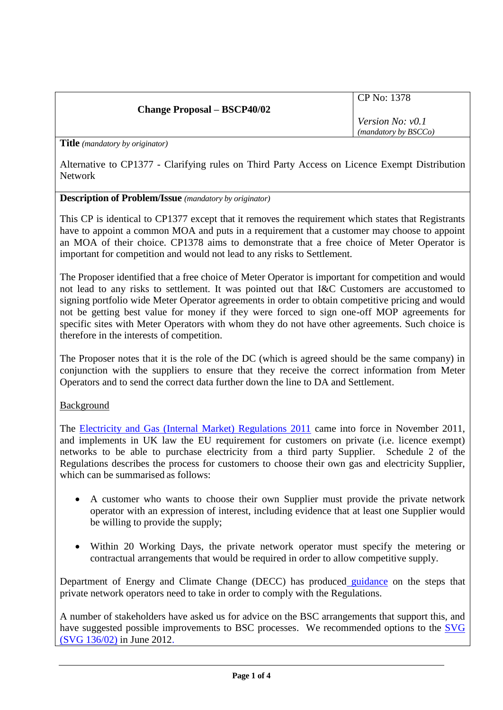# **Change Proposal – BSCP40/02**

CP No: 1378

*Version No: v0.1 (mandatory by BSCCo)*

**Title** *(mandatory by originator)*

Alternative to CP1377 - Clarifying rules on Third Party Access on Licence Exempt Distribution Network

### **Description of Problem/Issue** *(mandatory by originator)*

This CP is identical to CP1377 except that it removes the requirement which states that Registrants have to appoint a common MOA and puts in a requirement that a customer may choose to appoint an MOA of their choice. CP1378 aims to demonstrate that a free choice of Meter Operator is important for competition and would not lead to any risks to Settlement.

The Proposer identified that a free choice of Meter Operator is important for competition and would not lead to any risks to settlement. It was pointed out that I&C Customers are accustomed to signing portfolio wide Meter Operator agreements in order to obtain competitive pricing and would not be getting best value for money if they were forced to sign one-off MOP agreements for specific sites with Meter Operators with whom they do not have other agreements. Such choice is therefore in the interests of competition.

The Proposer notes that it is the role of the DC (which is agreed should be the same company) in conjunction with the suppliers to ensure that they receive the correct information from Meter Operators and to send the correct data further down the line to DA and Settlement.

### Background

The [Electricity and Gas \(Internal Market\) Regulations 2011](http://www.legislation.gov.uk/ukdsi/2011/9780111513965) came into force in November 2011, and implements in UK law the EU requirement for customers on private (i.e. licence exempt) networks to be able to purchase electricity from a third party Supplier. Schedule 2 of the Regulations describes the process for customers to choose their own gas and electricity Supplier, which can be summarised as follows:

- A customer who wants to choose their own Supplier must provide the private network operator with an expression of interest, including evidence that at least one Supplier would be willing to provide the supply;
- Within 20 Working Days, the private network operator must specify the metering or contractual arrangements that would be required in order to allow competitive supply.

[Department of Energy and Climate Change](http://www.google.co.uk/url?sa=t&rct=j&q=&esrc=s&frm=1&source=web&cd=1&ved=0CDgQFjAA&url=http%3A%2F%2Fwww.decc.gov.uk%2F&ei=CiSZT8H8FYWq8QOqq_i1Bg&usg=AFQjCNHWoGbd62_7vw4IXJbHGWUSzJGZOA) (DECC) has produced [guidance](http://www.decc.gov.uk/assets/decc/11/meeting-energy-demand/energy-markets/4511-guidance-third-party-access-elec-gas.pdf) on the steps that private network operators need to take in order to comply with the Regulations.

A number of stakeholders have asked us for advice on the BSC arrangements that support this, and have suggested possible improvements to BSC processes. We recommended options to the [SVG](http://www.elexon.co.uk/wp-content/uploads/2012/04/SVG136_02-Third-Party-Access-.pdf)  [\(SVG 136/02\)](http://www.elexon.co.uk/wp-content/uploads/2012/04/SVG136_02-Third-Party-Access-.pdf) in June 2012.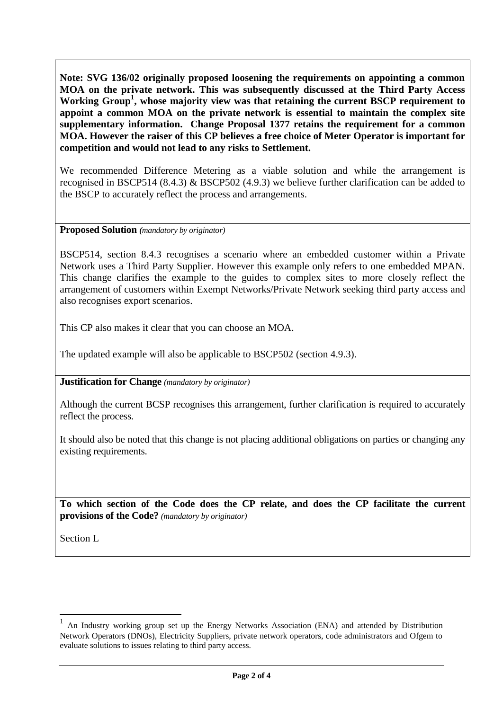**Note: SVG 136/02 originally proposed loosening the requirements on appointing a common MOA on the private network. This was subsequently discussed at the Third Party Access**  Working Group<sup>1</sup>, whose majority view was that retaining the current BSCP requirement to **appoint a common MOA on the private network is essential to maintain the complex site supplementary information. Change Proposal 1377 retains the requirement for a common MOA. However the raiser of this CP believes a free choice of Meter Operator is important for competition and would not lead to any risks to Settlement.**

We recommended Difference Metering as a viable solution and while the arrangement is recognised in BSCP514 (8.4.3) & BSCP502 (4.9.3) we believe further clarification can be added to the BSCP to accurately reflect the process and arrangements.

### **Proposed Solution** *(mandatory by originator)*

BSCP514, section 8.4.3 recognises a scenario where an embedded customer within a Private Network uses a Third Party Supplier. However this example only refers to one embedded MPAN. This change clarifies the example to the guides to complex sites to more closely reflect the arrangement of customers within Exempt Networks/Private Network seeking third party access and also recognises export scenarios.

This CP also makes it clear that you can choose an MOA.

The updated example will also be applicable to BSCP502 (section 4.9.3).

**Justification for Change** *(mandatory by originator)*

Although the current BCSP recognises this arrangement, further clarification is required to accurately reflect the process.

It should also be noted that this change is not placing additional obligations on parties or changing any existing requirements.

**To which section of the Code does the CP relate, and does the CP facilitate the current provisions of the Code?** *(mandatory by originator)*

Section L

 $\overline{a}$ 

<sup>1</sup> An Industry working group set up the Energy Networks Association (ENA) and attended by Distribution Network Operators (DNOs), Electricity Suppliers, private network operators, code administrators and Ofgem to evaluate solutions to issues relating to third party access.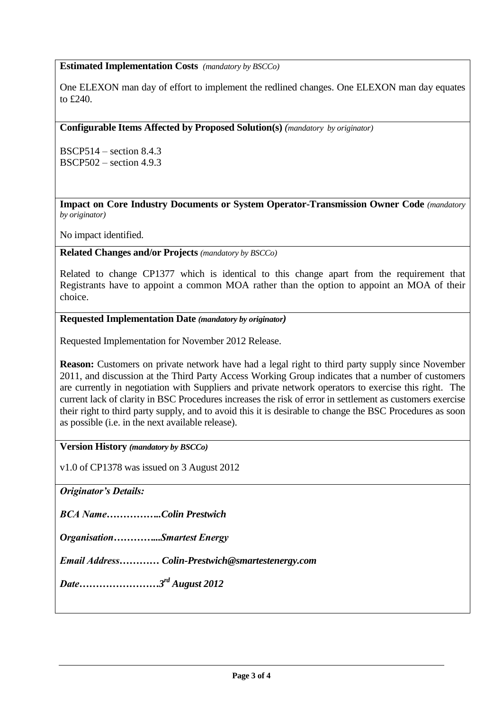## **Estimated Implementation Costs** *(mandatory by BSCCo)*

One ELEXON man day of effort to implement the redlined changes. One ELEXON man day equates to £240.

**Configurable Items Affected by Proposed Solution(s)** *(mandatory by originator)*

BSCP514 – section 8.4.3 BSCP502 – section 4.9.3

**Impact on Core Industry Documents or System Operator-Transmission Owner Code** *(mandatory by originator)*

No impact identified.

**Related Changes and/or Projects** *(mandatory by BSCCo)*

Related to change CP1377 which is identical to this change apart from the requirement that Registrants have to appoint a common MOA rather than the option to appoint an MOA of their choice.

**Requested Implementation Date** *(mandatory by originator)*

Requested Implementation for November 2012 Release.

**Reason:** Customers on private network have had a legal right to third party supply since November 2011, and discussion at the Third Party Access Working Group indicates that a number of customers are currently in negotiation with Suppliers and private network operators to exercise this right. The current lack of clarity in BSC Procedures increases the risk of error in settlement as customers exercise their right to third party supply, and to avoid this it is desirable to change the BSC Procedures as soon as possible (i.e. in the next available release).

**Version History** *(mandatory by BSCCo)*

v1.0 of CP1378 was issued on 3 August 2012

*Originator's Details:*

*BCA Name……………..Colin Prestwich*

*Organisation…………...Smartest Energy*

*Email Address………… Colin-Prestwich@smartestenergy.com*

*Date……………………3 rd August 2012*